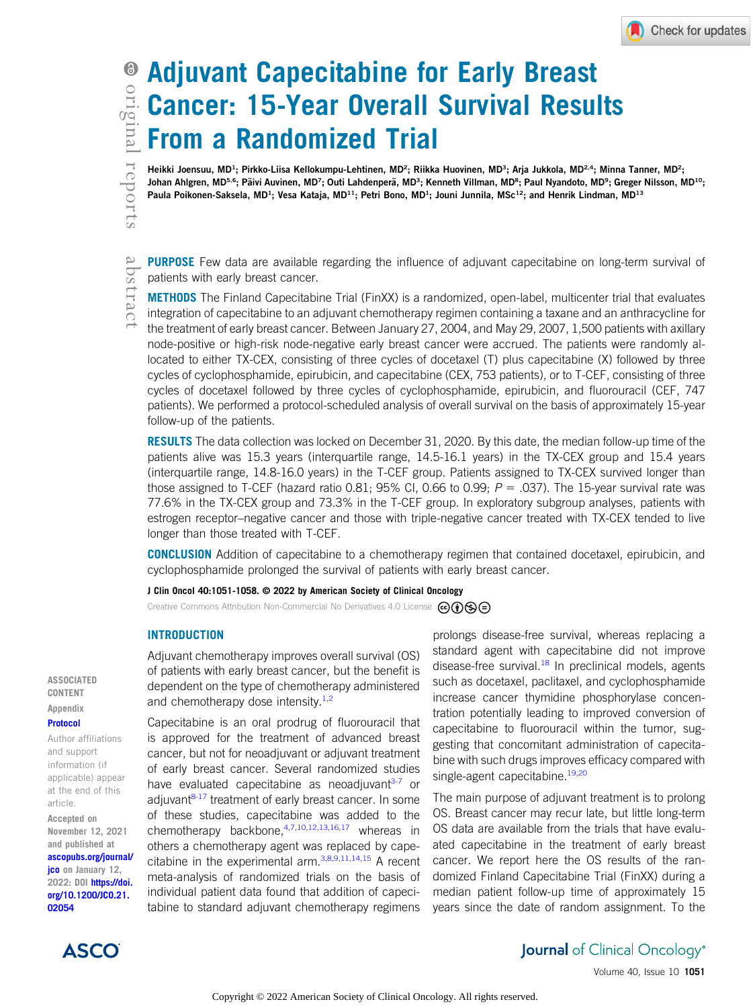abstract

# Adjuvant Capecitabine for Early Breast Cancer: 15-Year Overall Survival Results From a Randomized Trial

Heikki Joensuu, MD<sup>1</sup>; Pirkko-Liisa Kellokumpu-Lehtinen, MD<sup>2</sup>; Riikka Huovinen, MD<sup>3</sup> ; Arja Jukkola, MD<sup>2,4</sup>; Minna Tanner, MD<sup>2</sup>; Johan Ahlgren, MD<sup>5,6</sup>; Päivi Auvinen, MD<sup>7</sup>; Outi Lahdenperä, MD<sup>3</sup>; Kenneth Villman, MD<sup>8</sup>; Paul Nyandoto, MD<sup>9</sup> Johan Ahlgren, MD<sup>5,6</sup>; Päivi Auvinen, MD<sup>7</sup>; Outi Lahdenperä, MD<sup>3</sup>; Kenneth Villman, MD<sup>8</sup>; Paul Nyandoto, MD<sup>9</sup>; Greger Nilsson, MD<sup>10</sup>; Paula Poikonen-Saksela, MD<sup>1</sup>; Vesa Kataja, MD<sup>11</sup>; Petri Bono, MD<sup>1</sup>; Jouni Junnila, MSc<sup>12</sup>; and Henrik Lindman, MD<sup>13</sup>

**PURPOSE** Few data are available regarding the influence of adjuvant capecitabine on long-term survival of patients with early breast cancer.

METHODS The Finland Capecitabine Trial (FinXX) is a randomized, open-label, multicenter trial that evaluates integration of capecitabine to an adjuvant chemotherapy regimen containing a taxane and an anthracycline for the treatment of early breast cancer. Between January 27, 2004, and May 29, 2007, 1,500 patients with axillary node-positive or high-risk node-negative early breast cancer were accrued. The patients were randomly allocated to either TX-CEX, consisting of three cycles of docetaxel (T) plus capecitabine (X) followed by three cycles of cyclophosphamide, epirubicin, and capecitabine (CEX, 753 patients), or to T-CEF, consisting of three cycles of docetaxel followed by three cycles of cyclophosphamide, epirubicin, and fluorouracil (CEF, 747 patients). We performed a protocol-scheduled analysis of overall survival on the basis of approximately 15-year follow-up of the patients.

**RESULTS** The data collection was locked on December 31, 2020. By this date, the median follow-up time of the patients alive was 15.3 years (interquartile range, 14.5-16.1 years) in the TX-CEX group and 15.4 years (interquartile range, 14.8-16.0 years) in the T-CEF group. Patients assigned to TX-CEX survived longer than those assigned to T-CEF (hazard ratio 0.81; 95% CI, 0.66 to 0.99;  $P = .037$ ). The 15-year survival rate was 77.6% in the TX-CEX group and 73.3% in the T-CEF group. In exploratory subgroup analyses, patients with estrogen receptor–negative cancer and those with triple-negative cancer treated with TX-CEX tended to live longer than those treated with T-CEF.

CONCLUSION Addition of capecitabine to a chemotherapy regimen that contained docetaxel, epirubicin, and cyclophosphamide prolonged the survival of patients with early breast cancer.

J Clin Oncol 40:1051-1058. © 2022 by American Society of Clinical Oncology

Creative Commons Attribution Non-Commercial No Derivatives 4.0 License  $\bigcirc \mathbf{\odot} \mathbf{\odot} \bigcirc$ 

#### **INTRODUCTION**

Adjuvant chemotherapy improves overall survival (OS) and chemotherapy dose intensity. $1,2$  $1,2$ 

CONTENT **Appendix** [Protocol](https://ascopubs.org/doi/suppl/10.1200/JCO.21.02054)

ASSOCIATED

Author affiliations and support information (if applicable) appear at the end of this article.

Accepted on November 12, 2021 and published at [ascopubs.org/journal/](http://ascopubs.org/journal/jco) [jco](http://ascopubs.org/journal/jco) on January 12, 2022: DOI [https://doi.](http://ascopubs.org/doi/full/10.1200/JCO.21.02054) [org/10.1200/JCO.21.](http://ascopubs.org/doi/full/10.1200/JCO.21.02054) [02054](http://ascopubs.org/doi/full/10.1200/JCO.21.02054)

of patients with early breast cancer, but the benefit is dependent on the type of chemotherapy administered

Capecitabine is an oral prodrug of fluorouracil that is approved for the treatment of advanced breast cancer, but not for neoadjuvant or adjuvant treatment of early breast cancer. Several randomized studies have evaluated capecitabine as neoadjuvant $3-7$  $3-7$  or adjuvant<sup>[8-](#page-6-4)[17](#page-6-5)</sup> treatment of early breast cancer. In some of these studies, capecitabine was added to the chemotherapy backbone, $4,7,10,12,13,16,17$  $4,7,10,12,13,16,17$  $4,7,10,12,13,16,17$  $4,7,10,12,13,16,17$  $4,7,10,12,13,16,17$  $4,7,10,12,13,16,17$  $4,7,10,12,13,16,17$  $4,7,10,12,13,16,17$  $4,7,10,12,13,16,17$  $4,7,10,12,13,16,17$  whereas in others a chemotherapy agent was replaced by capecitabine in the experimental arm.  $3,8,9,11,14,15$  $3,8,9,11,14,15$  $3,8,9,11,14,15$  $3,8,9,11,14,15$  $3,8,9,11,14,15$  $3,8,9,11,14,15$  A recent meta-analysis of randomized trials on the basis of individual patient data found that addition of capecitabine to standard adjuvant chemotherapy regimens

prolongs disease-free survival, whereas replacing a standard agent with capecitabine did not improve disease-free survival. $18$  In preclinical models, agents such as docetaxel, paclitaxel, and cyclophosphamide increase cancer thymidine phosphorylase concentration potentially leading to improved conversion of capecitabine to fluorouracil within the tumor, suggesting that concomitant administration of capecitabine with such drugs improves efficacy compared with single-agent capecitabine.<sup>[19,](#page-6-16)[20](#page-6-17)</sup>

The main purpose of adjuvant treatment is to prolong OS. Breast cancer may recur late, but little long-term OS data are available from the trials that have evaluated capecitabine in the treatment of early breast cancer. We report here the OS results of the randomized Finland Capecitabine Trial (FinXX) during a median patient follow-up time of approximately 15 years since the date of random assignment. To the



## **Journal** of Clinical Oncology<sup>®</sup>

Volume 40, Issue 10 1051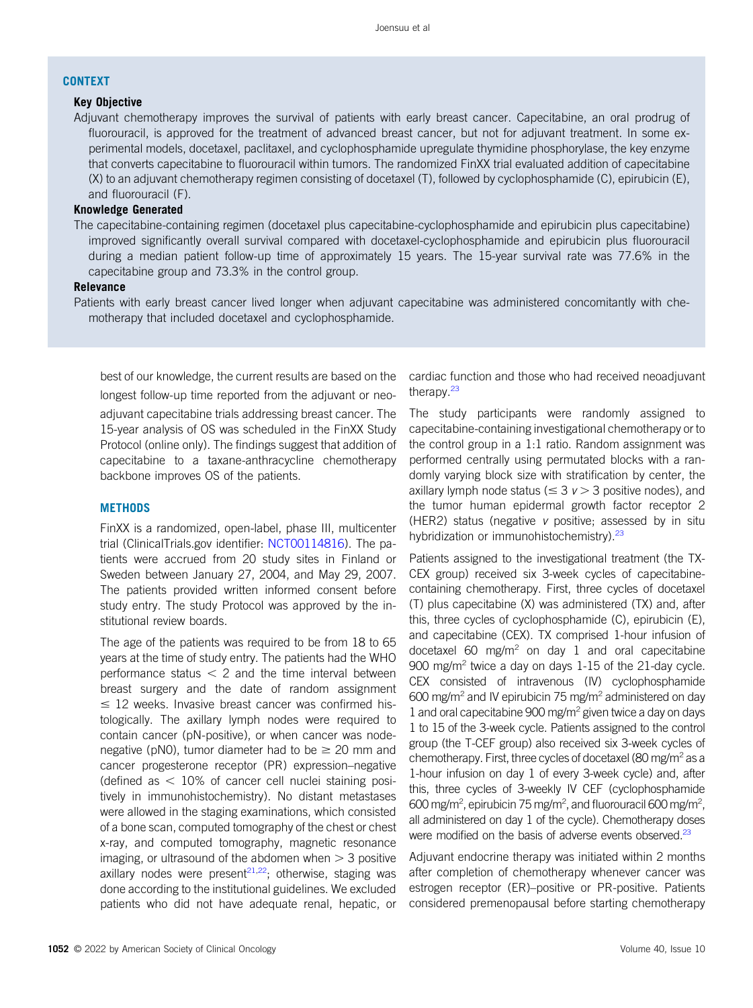## **CONTEXT**

## Key Objective

Adjuvant chemotherapy improves the survival of patients with early breast cancer. Capecitabine, an oral prodrug of fluorouracil, is approved for the treatment of advanced breast cancer, but not for adjuvant treatment. In some experimental models, docetaxel, paclitaxel, and cyclophosphamide upregulate thymidine phosphorylase, the key enzyme that converts capecitabine to fluorouracil within tumors. The randomized FinXX trial evaluated addition of capecitabine (X) to an adjuvant chemotherapy regimen consisting of docetaxel (T), followed by cyclophosphamide (C), epirubicin (E), and fluorouracil (F).

## Knowledge Generated

The capecitabine-containing regimen (docetaxel plus capecitabine-cyclophosphamide and epirubicin plus capecitabine) improved significantly overall survival compared with docetaxel-cyclophosphamide and epirubicin plus fluorouracil during a median patient follow-up time of approximately 15 years. The 15-year survival rate was 77.6% in the capecitabine group and 73.3% in the control group.

### Relevance

Patients with early breast cancer lived longer when adjuvant capecitabine was administered concomitantly with chemotherapy that included docetaxel and cyclophosphamide.

best of our knowledge, the current results are based on the longest follow-up time reported from the adjuvant or neo-

adjuvant capecitabine trials addressing breast cancer. The 15-year analysis of OS was scheduled in the FinXX Study Protocol (online only). The findings suggest that addition of capecitabine to a taxane-anthracycline chemotherapy backbone improves OS of the patients.

### **METHODS**

FinXX is a randomized, open-label, phase III, multicenter trial (ClinicalTrials.gov identifier: [NCT00114816\)](https://www.clinicaltrials.gov/ct2/show/NCT00114816). The patients were accrued from 20 study sites in Finland or Sweden between January 27, 2004, and May 29, 2007. The patients provided written informed consent before study entry. The study Protocol was approved by the institutional review boards.

The age of the patients was required to be from 18 to 65 years at the time of study entry. The patients had the WHO performance status  $<$  2 and the time interval between breast surgery and the date of random assignment  $\leq$  12 weeks. Invasive breast cancer was confirmed histologically. The axillary lymph nodes were required to contain cancer (pN-positive), or when cancer was nodenegative (pN0), tumor diameter had to be  $\geq$  20 mm and cancer progesterone receptor (PR) expression–negative (defined as  $<$  10% of cancer cell nuclei staining positively in immunohistochemistry). No distant metastases were allowed in the staging examinations, which consisted of a bone scan, computed tomography of the chest or chest x-ray, and computed tomography, magnetic resonance imaging, or ultrasound of the abdomen when  $>$  3 positive axillary nodes were present $21,22$  $21,22$ ; otherwise, staging was done according to the institutional guidelines. We excluded patients who did not have adequate renal, hepatic, or cardiac function and those who had received neoadjuvant therapy.<sup>23</sup>

The study participants were randomly assigned to capecitabine-containing investigational chemotherapy or to the control group in a 1:1 ratio. Random assignment was performed centrally using permutated blocks with a randomly varying block size with stratification by center, the axillary lymph node status ( $\leq$  3  $v$   $>$  3 positive nodes), and the tumor human epidermal growth factor receptor 2 (HER2) status (negative v positive; assessed by in situ hybridization or immunohistochemistry).<sup>[23](#page-7-2)</sup>

Patients assigned to the investigational treatment (the TX-CEX group) received six 3-week cycles of capecitabinecontaining chemotherapy. First, three cycles of docetaxel (T) plus capecitabine (X) was administered (TX) and, after this, three cycles of cyclophosphamide (C), epirubicin (E), and capecitabine (CEX). TX comprised 1-hour infusion of docetaxel 60 mg/m<sup>2</sup> on day 1 and oral capecitabine 900 mg/m<sup>2</sup> twice a day on days  $1-15$  of the 21-day cycle. CEX consisted of intravenous (IV) cyclophosphamide 600 mg/m<sup>2</sup> and IV epirubicin 75 mg/m<sup>2</sup> administered on day 1 and oral capecitabine 900 mg/m2 given twice a day on days 1 to 15 of the 3-week cycle. Patients assigned to the control group (the T-CEF group) also received six 3-week cycles of chemotherapy. First, three cycles of docetaxel (80 mg/m<sup>2</sup> as a 1-hour infusion on day 1 of every 3-week cycle) and, after this, three cycles of 3-weekly IV CEF (cyclophosphamide 600 mg/m<sup>2</sup>, epirubicin 75 mg/m<sup>2</sup>, and fluorouracil 600 mg/m<sup>2</sup>, all administered on day 1 of the cycle). Chemotherapy doses were modified on the basis of adverse events observed.<sup>[23](#page-7-2)</sup>

Adjuvant endocrine therapy was initiated within 2 months after completion of chemotherapy whenever cancer was estrogen receptor (ER)–positive or PR-positive. Patients considered premenopausal before starting chemotherapy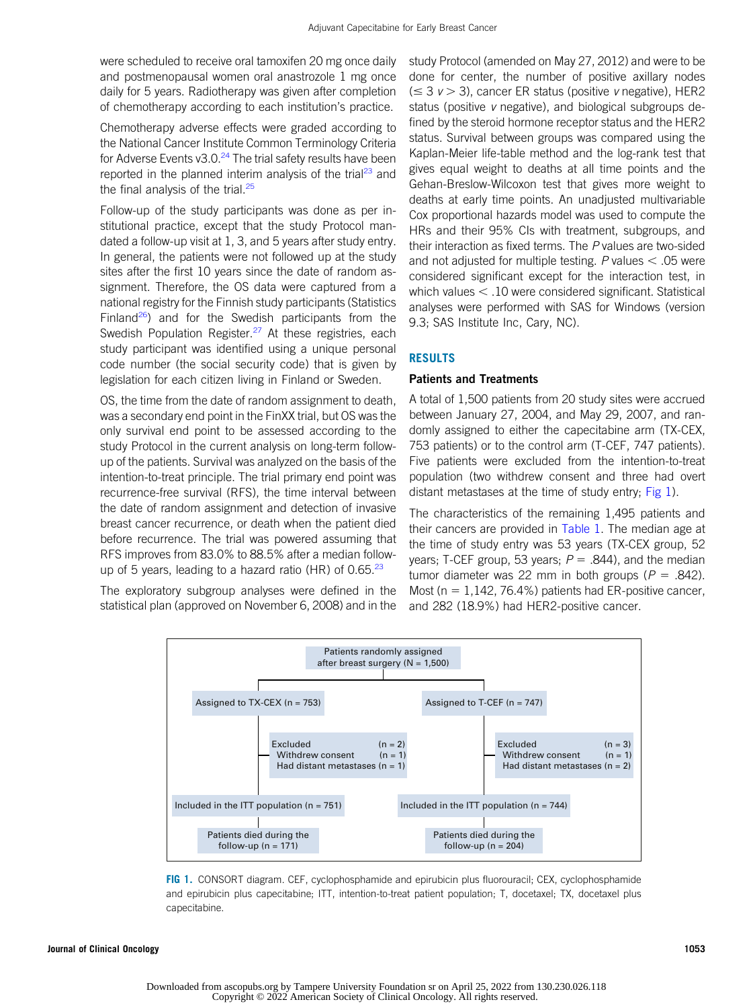were scheduled to receive oral tamoxifen 20 mg once daily and postmenopausal women oral anastrozole 1 mg once daily for 5 years. Radiotherapy was given after completion of chemotherapy according to each institution's practice.

Chemotherapy adverse effects were graded according to the National Cancer Institute Common Terminology Criteria for Adverse Events v3.0. $^{24}$  $^{24}$  $^{24}$  The trial safety results have been reported in the planned interim analysis of the trial<sup>[23](#page-7-2)</sup> and the final analysis of the trial.<sup>[25](#page-7-4)</sup>

Follow-up of the study participants was done as per institutional practice, except that the study Protocol mandated a follow-up visit at 1, 3, and 5 years after study entry. In general, the patients were not followed up at the study sites after the first 10 years since the date of random assignment. Therefore, the OS data were captured from a national registry for the Finnish study participants (Statistics Finland<sup>[26](#page-7-5)</sup>) and for the Swedish participants from the Swedish Population Register.<sup>[27](#page-7-6)</sup> At these registries, each study participant was identified using a unique personal code number (the social security code) that is given by legislation for each citizen living in Finland or Sweden.

OS, the time from the date of random assignment to death, was a secondary end point in the FinXX trial, but OS was the only survival end point to be assessed according to the study Protocol in the current analysis on long-term followup of the patients. Survival was analyzed on the basis of the intention-to-treat principle. The trial primary end point was recurrence-free survival (RFS), the time interval between the date of random assignment and detection of invasive breast cancer recurrence, or death when the patient died before recurrence. The trial was powered assuming that RFS improves from 83.0% to 88.5% after a median followup of 5 years, leading to a hazard ratio (HR) of  $0.65^{23}$  $0.65^{23}$  $0.65^{23}$ 

The exploratory subgroup analyses were defined in the statistical plan (approved on November 6, 2008) and in the study Protocol (amended on May 27, 2012) and were to be done for center, the number of positive axillary nodes  $(\leq 3$  v  $> 3)$ , cancer ER status (positive v negative), HER2 status (positive v negative), and biological subgroups defined by the steroid hormone receptor status and the HER2 status. Survival between groups was compared using the Kaplan-Meier life-table method and the log-rank test that gives equal weight to deaths at all time points and the Gehan-Breslow-Wilcoxon test that gives more weight to deaths at early time points. An unadjusted multivariable Cox proportional hazards model was used to compute the HRs and their 95% CIs with treatment, subgroups, and their interaction as fixed terms. The P values are two-sided and not adjusted for multiple testing. P values  $< .05$  were considered significant except for the interaction test, in which values  $<$  .10 were considered significant. Statistical analyses were performed with SAS for Windows (version 9.3; SAS Institute Inc, Cary, NC).

## RESULTS

### Patients and Treatments

A total of 1,500 patients from 20 study sites were accrued between January 27, 2004, and May 29, 2007, and randomly assigned to either the capecitabine arm (TX-CEX, 753 patients) or to the control arm (T-CEF, 747 patients). Five patients were excluded from the intention-to-treat population (two withdrew consent and three had overt distant metastases at the time of study entry; [Fig 1](#page-2-0)).

The characteristics of the remaining 1,495 patients and their cancers are provided in [Table 1.](#page-3-0) The median age at the time of study entry was 53 years (TX-CEX group, 52 years; T-CEF group, 53 years;  $P = .844$ ), and the median tumor diameter was 22 mm in both groups ( $P = .842$ ). Most ( $n = 1,142, 76.4\%$ ) patients had ER-positive cancer, and 282 (18.9%) had HER2-positive cancer.



<span id="page-2-0"></span>FIG 1. CONSORT diagram. CEF, cyclophosphamide and epirubicin plus fluorouracil; CEX, cyclophosphamide and epirubicin plus capecitabine; ITT, intention-to-treat patient population; T, docetaxel; TX, docetaxel plus capecitabine.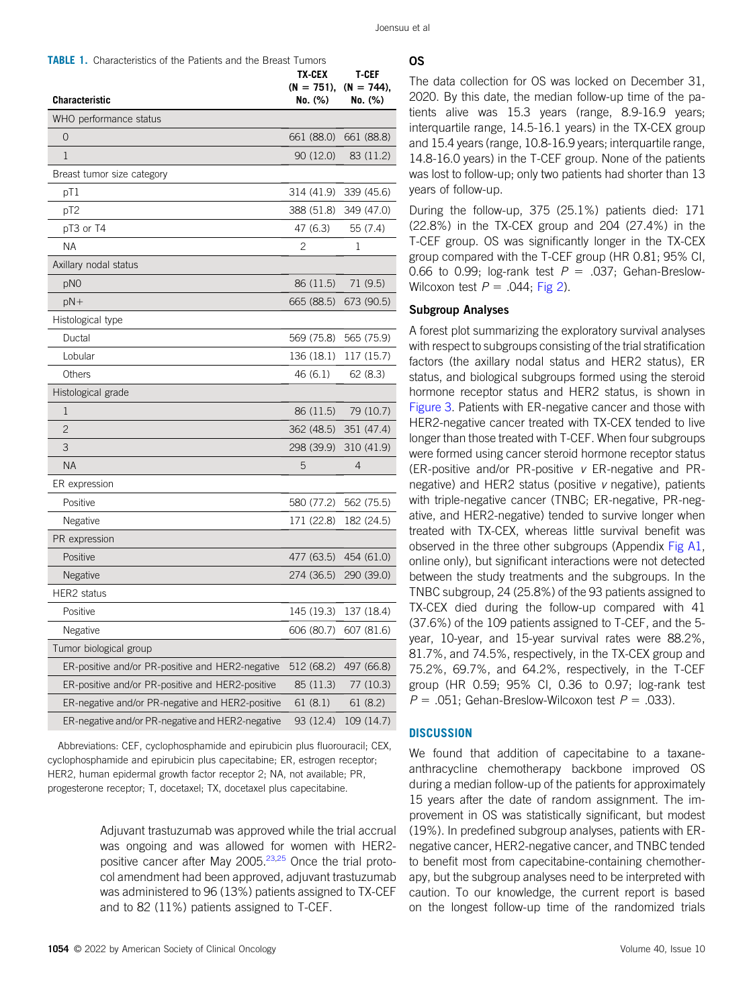<span id="page-3-0"></span>

| <b>TABLE 1.</b> Characteristics of the Patients and the Breast Tumors |
|-----------------------------------------------------------------------|
|-----------------------------------------------------------------------|

| <b>Characteristic</b>                            | TX-CEX<br>$(N = 751)$ ,<br>No. (%) | T-CEF<br>$(N = 744)$ ,<br>No. (%) |
|--------------------------------------------------|------------------------------------|-----------------------------------|
| WHO performance status                           |                                    |                                   |
| $\overline{O}$                                   | 661 (88.0)                         | 661 (88.8)                        |
| 1                                                | 90 (12.0)                          | 83 (11.2)                         |
| Breast tumor size category                       |                                    |                                   |
| pT1                                              | 314 (41.9)                         | 339 (45.6)                        |
| pT <sub>2</sub>                                  | 388 (51.8)                         | 349 (47.0)                        |
| pT3 or T4                                        | 47 (6.3)                           | 55 (7.4)                          |
| <b>NA</b>                                        | 2                                  | 1                                 |
| Axillary nodal status                            |                                    |                                   |
| pN <sub>0</sub>                                  | 86 (11.5)                          | 71 (9.5)                          |
| $pN+$                                            | 665 (88.5)                         | 673 (90.5)                        |
| Histological type                                |                                    |                                   |
| Ductal                                           | 569 (75.8)                         | 565 (75.9)                        |
| Lobular                                          | 136 (18.1)                         | 117 (15.7)                        |
| Others                                           | 46(6.1)                            | 62(8.3)                           |
| Histological grade                               |                                    |                                   |
| 1                                                | 86 (11.5)                          | 79 (10.7)                         |
| $\overline{c}$                                   | 362 (48.5)                         | 351 (47.4)                        |
| 3                                                | 298 (39.9)                         | 310 (41.9)                        |
| <b>NA</b>                                        | 5                                  | 4                                 |
| ER expression                                    |                                    |                                   |
| Positive                                         | 580 (77.2)                         | 562 (75.5)                        |
| Negative                                         | 171 (22.8)                         | 182 (24.5)                        |
| PR expression                                    |                                    |                                   |
| Positive                                         | 477 (63.5)                         | 454 (61.0)                        |
| Negative                                         | 274 (36.5)                         | 290 (39.0)                        |
| HER2 status                                      |                                    |                                   |
| Positive                                         | 145 (19.3)                         | 137 (18.4)                        |
| Negative                                         | 606 (80.7)                         | 607 (81.6)                        |
| Tumor biological group                           |                                    |                                   |
| ER-positive and/or PR-positive and HER2-negative | 512 (68.2)                         | 497 (66.8)                        |
| ER-positive and/or PR-positive and HER2-positive | 85 (11.3)                          | 77 (10.3)                         |
| ER-negative and/or PR-negative and HER2-positive | 61(8.1)                            | 61(8.2)                           |
| ER-negative and/or PR-negative and HER2-negative | 93 (12.4)                          | 109 (14.7)                        |

Abbreviations: CEF, cyclophosphamide and epirubicin plus fluorouracil; CEX, cyclophosphamide and epirubicin plus capecitabine; ER, estrogen receptor; HER2, human epidermal growth factor receptor 2; NA, not available; PR, progesterone receptor; T, docetaxel; TX, docetaxel plus capecitabine.

> Adjuvant trastuzumab was approved while the trial accrual was ongoing and was allowed for women with HER2- positive cancer after May 2005.<sup>[23](#page-7-2)[,25](#page-7-4)</sup> Once the trial protocol amendment had been approved, adjuvant trastuzumab was administered to 96 (13%) patients assigned to TX-CEF and to 82 (11%) patients assigned to T-CEF.

## OS

The data collection for OS was locked on December 31, 2020. By this date, the median follow-up time of the patients alive was 15.3 years (range, 8.9-16.9 years; interquartile range, 14.5-16.1 years) in the TX-CEX group and 15.4 years (range, 10.8-16.9 years; interquartile range, 14.8-16.0 years) in the T-CEF group. None of the patients was lost to follow-up; only two patients had shorter than 13 years of follow-up.

During the follow-up, 375 (25.1%) patients died: 171 (22.8%) in the TX-CEX group and 204 (27.4%) in the T-CEF group. OS was significantly longer in the TX-CEX group compared with the T-CEF group (HR 0.81; 95% CI, 0.66 to 0.99; log-rank test  $P = .037$ ; Gehan-Breslow-Wilcoxon test  $P = .044$ ; [Fig 2\)](#page-4-0).

## Subgroup Analyses

A forest plot summarizing the exploratory survival analyses with respect to subgroups consisting of the trial stratification factors (the axillary nodal status and HER2 status), ER status, and biological subgroups formed using the steroid hormone receptor status and HER2 status, is shown in [Figure 3.](#page-4-1) Patients with ER-negative cancer and those with HER2-negative cancer treated with TX-CEX tended to live longer than those treated with T-CEF. When four subgroups were formed using cancer steroid hormone receptor status (ER-positive and/or PR-positive v ER-negative and PRnegative) and HER2 status (positive v negative), patients with triple-negative cancer (TNBC; ER-negative, PR-negative, and HER2-negative) tended to survive longer when treated with TX-CEX, whereas little survival benefit was observed in the three other subgroups (Appendix [Fig A1](#page-9-0), online only), but significant interactions were not detected between the study treatments and the subgroups. In the TNBC subgroup, 24 (25.8%) of the 93 patients assigned to TX-CEX died during the follow-up compared with 41 (37.6%) of the 109 patients assigned to T-CEF, and the 5 year, 10-year, and 15-year survival rates were 88.2%, 81.7%, and 74.5%, respectively, in the TX-CEX group and 75.2%, 69.7%, and 64.2%, respectively, in the T-CEF group (HR 0.59; 95% CI, 0.36 to 0.97; log-rank test  $P = .051$ ; Gehan-Breslow-Wilcoxon test  $P = .033$ ).

#### **DISCUSSION**

We found that addition of capecitabine to a taxaneanthracycline chemotherapy backbone improved OS during a median follow-up of the patients for approximately 15 years after the date of random assignment. The improvement in OS was statistically significant, but modest (19%). In predefined subgroup analyses, patients with ERnegative cancer, HER2-negative cancer, and TNBC tended to benefit most from capecitabine-containing chemotherapy, but the subgroup analyses need to be interpreted with caution. To our knowledge, the current report is based on the longest follow-up time of the randomized trials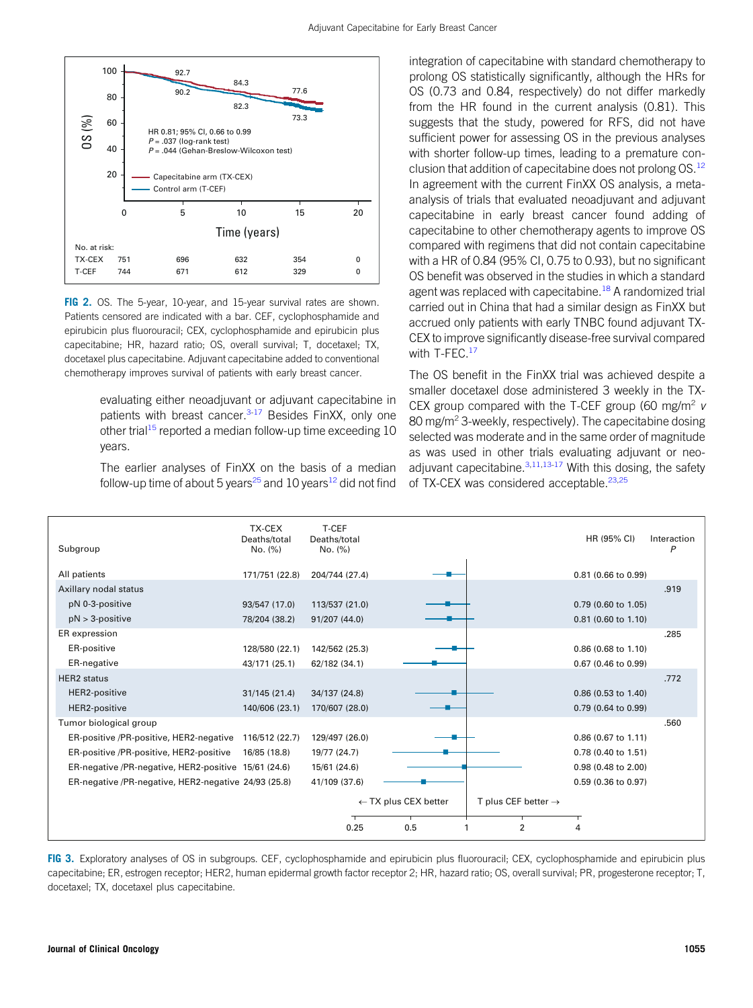

<span id="page-4-0"></span>FIG 2. OS. The 5-year, 10-year, and 15-year survival rates are shown. Patients censored are indicated with a bar. CEF, cyclophosphamide and epirubicin plus fluorouracil; CEX, cyclophosphamide and epirubicin plus capecitabine; HR, hazard ratio; OS, overall survival; T, docetaxel; TX, docetaxel plus capecitabine. Adjuvant capecitabine added to conventional chemotherapy improves survival of patients with early breast cancer.

> evaluating either neoadjuvant or adjuvant capecitabine in patients with breast cancer. $3-17$  $3-17$  Besides FinXX, only one other trial<sup>[15](#page-6-14)</sup> reported a median follow-up time exceeding 10 years.

> The earlier analyses of FinXX on the basis of a median follow-up time of about 5 years<sup>[25](#page-7-4)</sup> and 10 years<sup>[12](#page-6-8)</sup> did not find

integration of capecitabine with standard chemotherapy to prolong OS statistically significantly, although the HRs for OS (0.73 and 0.84, respectively) do not differ markedly from the HR found in the current analysis (0.81). This suggests that the study, powered for RFS, did not have sufficient power for assessing OS in the previous analyses with shorter follow-up times, leading to a premature conclusion that addition of capecitabine does not prolong OS.<sup>12</sup> In agreement with the current FinXX OS analysis, a metaanalysis of trials that evaluated neoadjuvant and adjuvant capecitabine in early breast cancer found adding of capecitabine to other chemotherapy agents to improve OS compared with regimens that did not contain capecitabine with a HR of 0.84 (95% CI, 0.75 to 0.93), but no significant OS benefit was observed in the studies in which a standard agent was replaced with capecitabine.<sup>[18](#page-6-15)</sup> A randomized trial carried out in China that had a similar design as FinXX but accrued only patients with early TNBC found adjuvant TX-CEX to improve significantly disease-free survival compared with T-FEC.<sup>17</sup>

The OS benefit in the FinXX trial was achieved despite a smaller docetaxel dose administered 3 weekly in the TX-CEX group compared with the T-CEF group (60 mg/m<sup>2</sup>  $\nu$ 80 mg/m<sup>2</sup> 3-weekly, respectively). The capecitabine dosing selected was moderate and in the same order of magnitude as was used in other trials evaluating adjuvant or neoadjuvant capecitabine. $3,11,13-17$  $3,11,13-17$  $3,11,13-17$  $3,11,13-17$  $3,11,13-17$  With this dosing, the safety of TX-CEX was considered acceptable.<sup>[23](#page-7-2)[,25](#page-7-4)</sup>

| Subgroup                                             | TX-CEX<br>Deaths/total<br>No. (%) | T-CEF<br>Deaths/total<br>No. (%) |                                 |                                 | HR (95% CI)           | Interaction<br>P |
|------------------------------------------------------|-----------------------------------|----------------------------------|---------------------------------|---------------------------------|-----------------------|------------------|
| All patients                                         | 171/751 (22.8)                    | 204/744 (27.4)                   |                                 |                                 | 0.81 (0.66 to 0.99)   |                  |
| Axillary nodal status                                |                                   |                                  |                                 |                                 |                       | .919             |
| pN 0-3-positive                                      | 93/547 (17.0)                     | 113/537 (21.0)                   |                                 |                                 | 0.79 (0.60 to 1.05)   |                  |
| $pN > 3$ -positive                                   | 78/204 (38.2)                     | 91/207 (44.0)                    |                                 |                                 | $0.81$ (0.60 to 1.10) |                  |
| ER expression                                        |                                   |                                  |                                 |                                 |                       | .285             |
| ER-positive                                          | 128/580 (22.1)                    | 142/562 (25.3)                   |                                 |                                 | 0.86 (0.68 to 1.10)   |                  |
| ER-negative                                          | 43/171 (25.1)                     | 62/182 (34.1)                    |                                 |                                 | 0.67 (0.46 to 0.99)   |                  |
| <b>HER2</b> status                                   |                                   |                                  |                                 |                                 |                       | .772             |
| HER2-positive                                        | 31/145 (21.4)                     | 34/137 (24.8)                    |                                 |                                 | 0.86 (0.53 to 1.40)   |                  |
| HER2-positive                                        | 140/606 (23.1)                    | 170/607 (28.0)                   |                                 |                                 | 0.79 (0.64 to 0.99)   |                  |
| Tumor biological group                               |                                   |                                  |                                 |                                 |                       | .560             |
| ER-positive /PR-positive, HER2-negative              | 116/512 (22.7)                    | 129/497 (26.0)                   |                                 |                                 | 0.86 (0.67 to 1.11)   |                  |
| ER-positive /PR-positive, HER2-positive              | 16/85 (18.8)                      | 19/77 (24.7)                     |                                 |                                 | 0.78 (0.40 to 1.51)   |                  |
| ER-negative /PR-negative, HER2-positive 15/61 (24.6) |                                   | 15/61 (24.6)                     |                                 |                                 | 0.98 (0.48 to 2.00)   |                  |
| ER-negative /PR-negative, HER2-negative 24/93 (25.8) |                                   | 41/109 (37.6)                    |                                 |                                 | 0.59 (0.36 to 0.97)   |                  |
|                                                      |                                   |                                  | $\leftarrow$ TX plus CEX better | T plus CEF better $\rightarrow$ |                       |                  |
|                                                      |                                   | 0.25                             | 0.5                             | $\overline{2}$                  |                       |                  |
|                                                      |                                   |                                  |                                 |                                 |                       |                  |

<span id="page-4-1"></span>FIG 3. Exploratory analyses of OS in subgroups. CEF, cyclophosphamide and epirubicin plus fluorouracil; CEX, cyclophosphamide and epirubicin plus capecitabine; ER, estrogen receptor; HER2, human epidermal growth factor receptor 2; HR, hazard ratio; OS, overall survival; PR, progesterone receptor; T, docetaxel; TX, docetaxel plus capecitabine.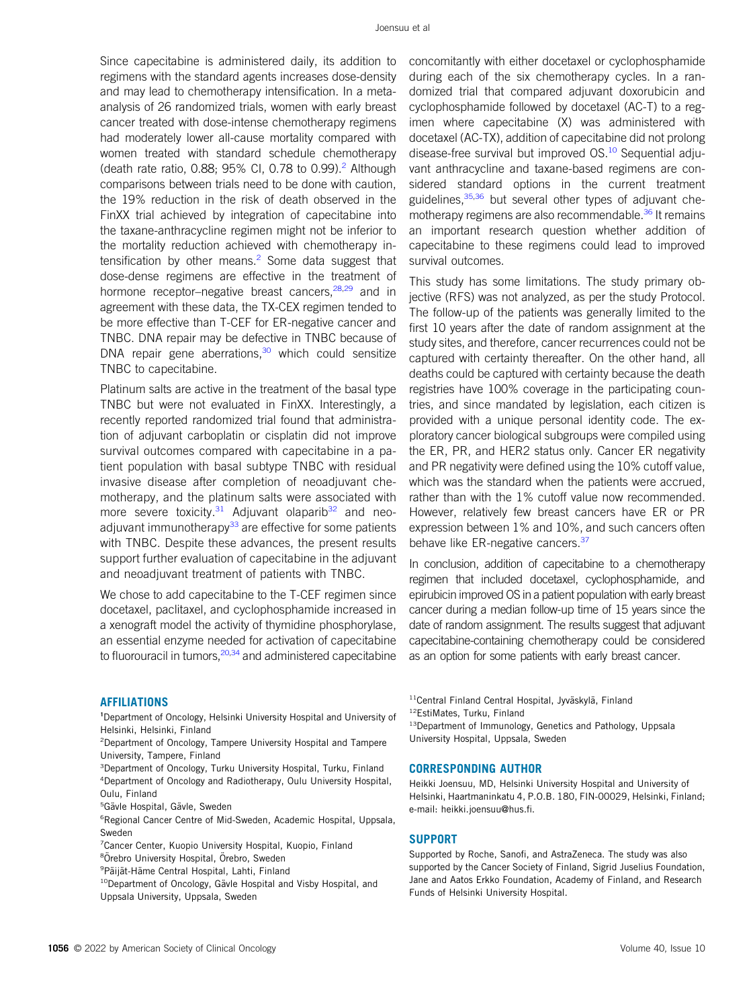Since capecitabine is administered daily, its addition to regimens with the standard agents increases dose-density and may lead to chemotherapy intensification. In a metaanalysis of 26 randomized trials, women with early breast cancer treated with dose-intense chemotherapy regimens had moderately lower all-cause mortality compared with women treated with standard schedule chemotherapy (death rate ratio,  $0.88$ ;  $95\%$  CI,  $0.78$  to  $0.99$ ).<sup>[2](#page-6-1)</sup> Although comparisons between trials need to be done with caution, the 19% reduction in the risk of death observed in the FinXX trial achieved by integration of capecitabine into the taxane-anthracycline regimen might not be inferior to the mortality reduction achieved with chemotherapy intensification by other means.<sup>2</sup> Some data suggest that dose-dense regimens are effective in the treatment of hormone receptor–negative breast cancers, <sup>[28](#page-7-7)[,29](#page-7-8)</sup> and in agreement with these data, the TX-CEX regimen tended to be more effective than T-CEF for ER-negative cancer and TNBC. DNA repair may be defective in TNBC because of DNA repair gene aberrations, $30$  which could sensitize TNBC to capecitabine.

Platinum salts are active in the treatment of the basal type TNBC but were not evaluated in FinXX. Interestingly, a recently reported randomized trial found that administration of adjuvant carboplatin or cisplatin did not improve survival outcomes compared with capecitabine in a patient population with basal subtype TNBC with residual invasive disease after completion of neoadjuvant chemotherapy, and the platinum salts were associated with more severe toxicity.<sup>[31](#page-7-10)</sup> Adjuvant olaparib<sup>[32](#page-7-11)</sup> and neo-adjuvant immunotherapy<sup>[33](#page-7-12)</sup> are effective for some patients with TNBC. Despite these advances, the present results support further evaluation of capecitabine in the adjuvant and neoadjuvant treatment of patients with TNBC.

We chose to add capecitabine to the T-CEF regimen since docetaxel, paclitaxel, and cyclophosphamide increased in a xenograft model the activity of thymidine phosphorylase, an essential enzyme needed for activation of capecitabine to fluorouracil in tumors, <sup>20,[34](#page-7-13)</sup> and administered capecitabine

AFFILIATIONS

<sup>1</sup>Department of Oncology, Helsinki University Hospital and University of Helsinki, Helsinki, Finland

2 Department of Oncology, Tampere University Hospital and Tampere University, Tampere, Finland

3 Department of Oncology, Turku University Hospital, Turku, Finland 4 Department of Oncology and Radiotherapy, Oulu University Hospital, Oulu, Finland

<sup>5</sup>Gävle Hospital, Gävle, Sweden

6 Regional Cancer Centre of Mid-Sweden, Academic Hospital, Uppsala, Sweden

7 Cancer Center, Kuopio University Hospital, Kuopio, Finland

<sup>8</sup>Örebro University Hospital, Örebro, Sweden

<sup>9</sup>Päijät-Häme Central Hospital, Lahti, Finland

<sup>10</sup>Department of Oncology, Gävle Hospital and Visby Hospital, and Uppsala University, Uppsala, Sweden

concomitantly with either docetaxel or cyclophosphamide during each of the six chemotherapy cycles. In a randomized trial that compared adjuvant doxorubicin and cyclophosphamide followed by docetaxel (AC-T) to a regimen where capecitabine (X) was administered with docetaxel (AC-TX), addition of capecitabine did not prolong disease-free survival but improved OS.<sup>[10](#page-6-7)</sup> Sequential adjuvant anthracycline and taxane-based regimens are considered standard options in the current treatment guidelines,<sup>[35,](#page-7-14)[36](#page-7-15)</sup> but several other types of adjuvant che-motherapy regimens are also recommendable.<sup>[36](#page-7-15)</sup> It remains an important research question whether addition of capecitabine to these regimens could lead to improved survival outcomes.

This study has some limitations. The study primary objective (RFS) was not analyzed, as per the study Protocol. The follow-up of the patients was generally limited to the first 10 years after the date of random assignment at the study sites, and therefore, cancer recurrences could not be captured with certainty thereafter. On the other hand, all deaths could be captured with certainty because the death registries have 100% coverage in the participating countries, and since mandated by legislation, each citizen is provided with a unique personal identity code. The exploratory cancer biological subgroups were compiled using the ER, PR, and HER2 status only. Cancer ER negativity and PR negativity were defined using the 10% cutoff value, which was the standard when the patients were accrued, rather than with the 1% cutoff value now recommended. However, relatively few breast cancers have ER or PR expression between 1% and 10%, and such cancers often behave like ER-negative cancers.<sup>[37](#page-7-16)</sup>

In conclusion, addition of capecitabine to a chemotherapy regimen that included docetaxel, cyclophosphamide, and epirubicin improved OS in a patient population with early breast cancer during a median follow-up time of 15 years since the date of random assignment. The results suggest that adjuvant capecitabine-containing chemotherapy could be considered as an option for some patients with early breast cancer.

<sup>11</sup>Central Finland Central Hospital, Jyväskylä, Finland

12EstiMates, Turku, Finland

13Department of Immunology, Genetics and Pathology, Uppsala University Hospital, Uppsala, Sweden

#### CORRESPONDING AUTHOR

Heikki Joensuu, MD, Helsinki University Hospital and University of Helsinki, Haartmaninkatu 4, P.O.B. 180, FIN-00029, Helsinki, Finland; e-mail: [heikki.joensuu@hus.](mailto:heikki.joensuu@hus.fi)fi.

#### **SUPPORT**

Supported by Roche, Sanofi, and AstraZeneca. The study was also supported by the Cancer Society of Finland, Sigrid Juselius Foundation, Jane and Aatos Erkko Foundation, Academy of Finland, and Research Funds of Helsinki University Hospital.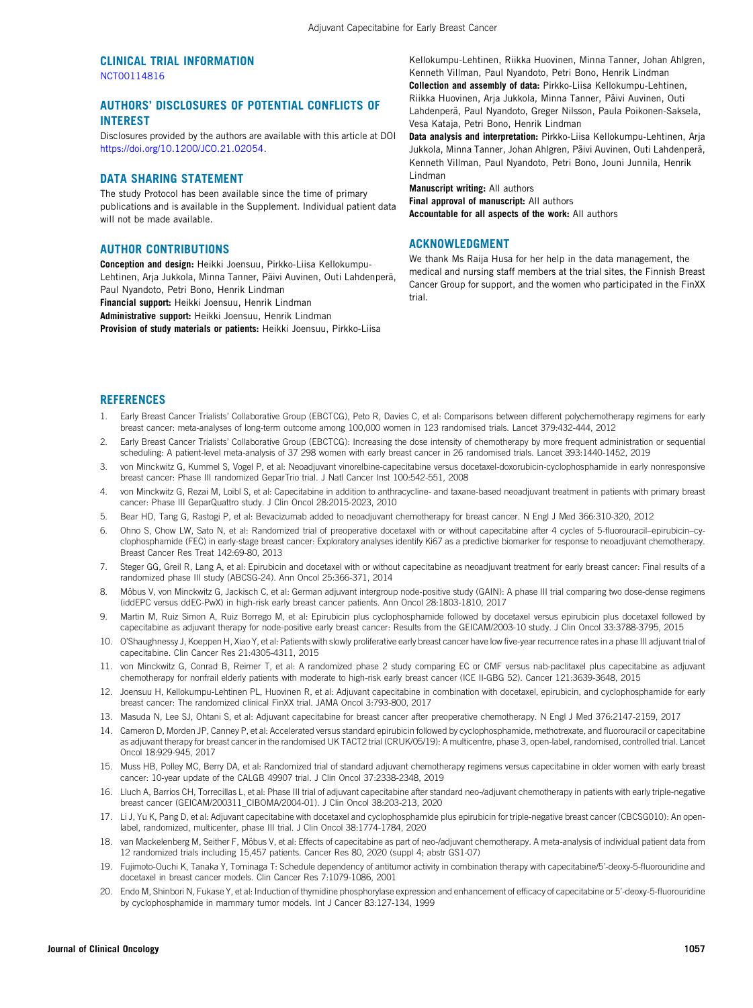#### CLINICAL TRIAL INFORMATION [NCT00114816](https://www.clinicaltrials.gov/ct2/show/NCT00114816)

## AUTHORS' DISCLOSURES OF POTENTIAL CONFLICTS OF INTEREST

Disclosures provided by the authors are available with this article at DOI [https://doi.org/10.1200/JCO.21.02054.](https://ascopubs.org/doi/full/10.1200/JCO.21.02054)

#### DATA SHARING STATEMENT

The study Protocol has been available since the time of primary publications and is available in the Supplement. Individual patient data will not be made available.

#### AUTHOR CONTRIBUTIONS

Conception and design: Heikki Joensuu, Pirkko-Liisa Kellokumpu-Lehtinen, Arja Jukkola, Minna Tanner, Päivi Auvinen, Outi Lahdenperä, Paul Nyandoto, Petri Bono, Henrik Lindman

Financial support: Heikki Joensuu, Henrik Lindman

Administrative support: Heikki Joensuu, Henrik Lindman

Provision of study materials or patients: Heikki Joensuu, Pirkko-Liisa

Kellokumpu-Lehtinen, Riikka Huovinen, Minna Tanner, Johan Ahlgren, Kenneth Villman, Paul Nyandoto, Petri Bono, Henrik Lindman Collection and assembly of data: Pirkko-Liisa Kellokumpu-Lehtinen,

Riikka Huovinen, Arja Jukkola, Minna Tanner, Päivi Auvinen, Outi Lahdenperä, Paul Nyandoto, Greger Nilsson, Paula Poikonen-Saksela, Vesa Kataja, Petri Bono, Henrik Lindman

Data analysis and interpretation: Pirkko-Liisa Kellokumpu-Lehtinen, Arja Jukkola, Minna Tanner, Johan Ahlgren, Päivi Auvinen, Outi Lahdenperä, Kenneth Villman, Paul Nyandoto, Petri Bono, Jouni Junnila, Henrik Lindman

Manuscript writing: All authors

Final approval of manuscript: All authors Accountable for all aspects of the work: All authors

#### ACKNOWLEDGMENT

We thank Ms Raija Husa for her help in the data management, the medical and nursing staff members at the trial sites, the Finnish Breast Cancer Group for support, and the women who participated in the FinXX trial.

#### **REFERENCES**

- <span id="page-6-0"></span>1. Early Breast Cancer Trialists' Collaborative Group (EBCTCG), Peto R, Davies C, et al: Comparisons between different polychemotherapy regimens for early breast cancer: meta-analyses of long-term outcome among 100,000 women in 123 randomised trials. Lancet 379:432-444, 2012
- <span id="page-6-1"></span>2. Early Breast Cancer Trialists' Collaborative Group (EBCTCG): Increasing the dose intensity of chemotherapy by more frequent administration or sequential scheduling: A patient-level meta-analysis of 37 298 women with early breast cancer in 26 randomised trials. Lancet 393:1440-1452, 2019
- <span id="page-6-2"></span>3. von Minckwitz G, Kummel S, Vogel P, et al: Neoadjuvant vinorelbine-capecitabine versus docetaxel-doxorubicin-cyclophosphamide in early nonresponsive breast cancer: Phase III randomized GeparTrio trial. J Natl Cancer Inst 100:542-551, 2008
- <span id="page-6-6"></span>4. von Minckwitz G, Rezai M, Loibl S, et al: Capecitabine in addition to anthracycline- and taxane-based neoadjuvant treatment in patients with primary breast cancer: Phase III GeparQuattro study. J Clin Oncol 28:2015-2023, 2010
- 5. Bear HD, Tang G, Rastogi P, et al: Bevacizumab added to neoadjuvant chemotherapy for breast cancer. N Engl J Med 366:310-320, 2012
- 6. Ohno S, Chow LW, Sato N, et al: Randomized trial of preoperative docetaxel with or without capecitabine after 4 cycles of 5-fluorouracil–epirubicin–cyclophosphamide (FEC) in early-stage breast cancer: Exploratory analyses identify Ki67 as a predictive biomarker for response to neoadjuvant chemotherapy. Breast Cancer Res Treat 142:69-80, 2013
- <span id="page-6-3"></span>7. Steger GG, Greil R, Lang A, et al: Epirubicin and docetaxel with or without capecitabine as neoadjuvant treatment for early breast cancer: Final results of a randomized phase III study (ABCSG-24). Ann Oncol 25:366-371, 2014
- <span id="page-6-4"></span>8. Möbus V, von Minckwitz G, Jackisch C, et al: German adjuvant intergroup node-positive study (GAIN): A phase III trial comparing two dose-dense regimens (iddEPC versus ddEC-PwX) in high-risk early breast cancer patients. Ann Oncol 28:1803-1810, 2017
- <span id="page-6-11"></span>9. Martin M, Ruiz Simon A, Ruiz Borrego M, et al: Epirubicin plus cyclophosphamide followed by docetaxel versus epirubicin plus docetaxel followed by capecitabine as adjuvant therapy for node-positive early breast cancer: Results from the GEICAM/2003-10 study. J Clin Oncol 33:3788-3795, 2015
- <span id="page-6-7"></span>10. O'Shaughnessy J, Koeppen H, Xiao Y, et al: Patients with slowly proliferative early breast cancer have low five-year recurrence rates in a phase III adjuvant trial of capecitabine. Clin Cancer Res 21:4305-4311, 2015
- <span id="page-6-12"></span>11. von Minckwitz G, Conrad B, Reimer T, et al: A randomized phase 2 study comparing EC or CMF versus nab-paclitaxel plus capecitabine as adjuvant chemotherapy for nonfrail elderly patients with moderate to high-risk early breast cancer (ICE II-GBG 52). Cancer 121:3639-3648, 2015
- <span id="page-6-8"></span>12. Joensuu H, Kellokumpu-Lehtinen PL, Huovinen R, et al: Adjuvant capecitabine in combination with docetaxel, epirubicin, and cyclophosphamide for early breast cancer: The randomized clinical FinXX trial. JAMA Oncol 3:793-800, 2017
- <span id="page-6-9"></span>13. Masuda N, Lee SJ, Ohtani S, et al: Adjuvant capecitabine for breast cancer after preoperative chemotherapy. N Engl J Med 376:2147-2159, 2017
- <span id="page-6-13"></span>14. Cameron D, Morden JP, Canney P, et al: Accelerated versus standard epirubicin followed by cyclophosphamide, methotrexate, and fluorouracil or capecitabine as adjuvant therapy for breast cancer in the randomised UK TACT2 trial (CRUK/05/19): A multicentre, phase 3, open-label, randomised, controlled trial. Lancet Oncol 18:929-945, 2017
- <span id="page-6-14"></span>15. Muss HB, Polley MC, Berry DA, et al: Randomized trial of standard adjuvant chemotherapy regimens versus capecitabine in older women with early breast cancer: 10-year update of the CALGB 49907 trial. J Clin Oncol 37:2338-2348, 2019
- <span id="page-6-10"></span>16. Lluch A, Barrios CH, Torrecillas L, et al: Phase III trial of adjuvant capecitabine after standard neo-/adjuvant chemotherapy in patients with early triple-negative breast cancer (GEICAM/200311\_CIBOMA/2004-01). J Clin Oncol 38:203-213, 2020
- <span id="page-6-5"></span>17. Li J, Yu K, Pang D, et al: Adjuvant capecitabine with docetaxel and cyclophosphamide plus epirubicin for triple-negative breast cancer (CBCSG010): An openlabel, randomized, multicenter, phase III trial. J Clin Oncol 38:1774-1784, 2020
- <span id="page-6-15"></span>18. van Mackelenberg M, Seither F, Möbus V, et al: Effects of capecitabine as part of neo-/adjuvant chemotherapy. A meta-analysis of individual patient data from 12 randomized trials including 15,457 patients. Cancer Res 80, 2020 (suppl 4; abstr GS1-07)
- <span id="page-6-16"></span>19. Fujimoto-Ouchi K, Tanaka Y, Tominaga T: Schedule dependency of antitumor activity in combination therapy with capecitabine/5'-deoxy-5-fluorouridine and docetaxel in breast cancer models. Clin Cancer Res 7:1079-1086, 2001
- <span id="page-6-17"></span>20. Endo M, Shinbori N, Fukase Y, et al: Induction of thymidine phosphorylase expression and enhancement of efficacy of capecitabine or 5'-deoxy-5-fluorouridine by cyclophosphamide in mammary tumor models. Int J Cancer 83:127-134, 1999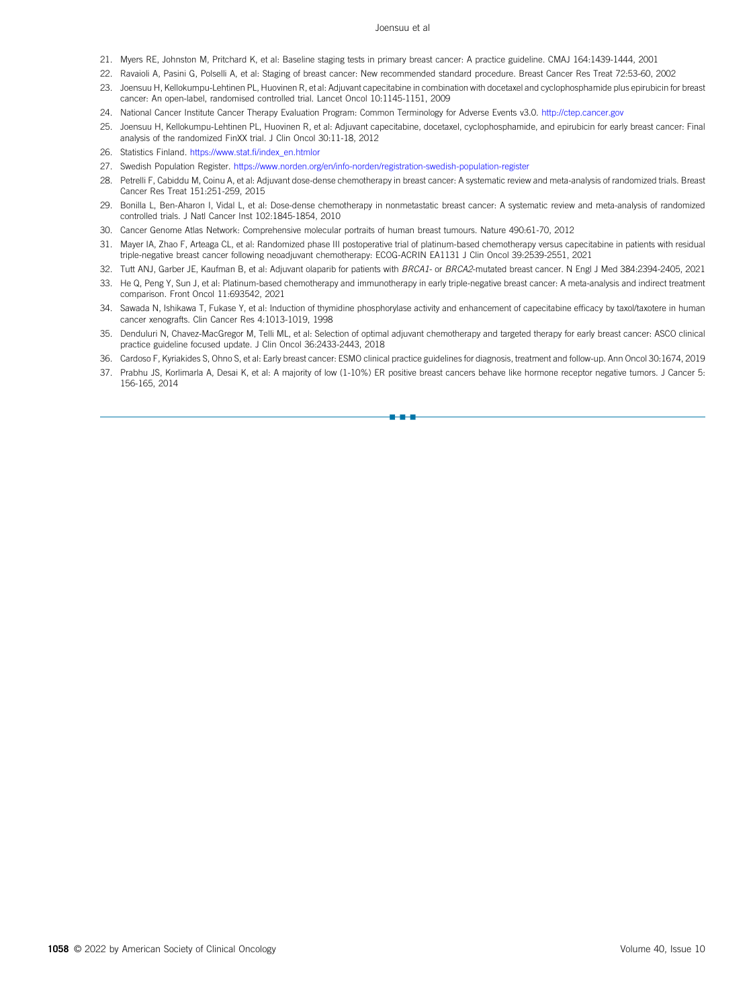#### Joensuu et al

- <span id="page-7-0"></span>21. Myers RE, Johnston M, Pritchard K, et al: Baseline staging tests in primary breast cancer: A practice guideline. CMAJ 164:1439-1444, 2001
- <span id="page-7-1"></span>22. Ravaioli A, Pasini G, Polselli A, et al: Staging of breast cancer: New recommended standard procedure. Breast Cancer Res Treat 72:53-60, 2002
- <span id="page-7-2"></span>23. Joensuu H, Kellokumpu-Lehtinen PL, Huovinen R, et al: Adjuvant capecitabine in combination with docetaxel and cyclophosphamide plus epirubicin for breast cancer: An open-label, randomised controlled trial. Lancet Oncol 10:1145-1151, 2009
- <span id="page-7-3"></span>24. National Cancer Institute Cancer Therapy Evaluation Program: Common Terminology for Adverse Events v3.0. [http://ctep.cancer.gov](http://ctep.cancer.gov/)
- <span id="page-7-4"></span>25. Joensuu H, Kellokumpu-Lehtinen PL, Huovinen R, et al: Adjuvant capecitabine, docetaxel, cyclophosphamide, and epirubicin for early breast cancer: Final analysis of the randomized FinXX trial. J Clin Oncol 30:11-18, 2012
- <span id="page-7-5"></span>26. Statistics Finland. https://www.stat.fi[/index\\_en.htmlor](https://www.stat.fi/index_en.htmlor).
- <span id="page-7-6"></span>27. Swedish Population Register. <https://www.norden.org/en/info-norden/registration-swedish-population-register>
- <span id="page-7-7"></span>28. Petrelli F, Cabiddu M, Coinu A, et al: Adjuvant dose-dense chemotherapy in breast cancer: A systematic review and meta-analysis of randomized trials. Breast Cancer Res Treat 151:251-259, 2015
- <span id="page-7-8"></span>29. Bonilla L, Ben-Aharon I, Vidal L, et al: Dose-dense chemotherapy in nonmetastatic breast cancer: A systematic review and meta-analysis of randomized controlled trials. J Natl Cancer Inst 102:1845-1854, 2010
- <span id="page-7-9"></span>30. Cancer Genome Atlas Network: Comprehensive molecular portraits of human breast tumours. Nature 490:61-70, 2012
- <span id="page-7-10"></span>31. Mayer IA, Zhao F, Arteaga CL, et al: Randomized phase III postoperative trial of platinum-based chemotherapy versus capecitabine in patients with residual triple-negative breast cancer following neoadjuvant chemotherapy: ECOG-ACRIN EA1131 J Clin Oncol 39:2539-2551, 2021
- <span id="page-7-11"></span>32. Tutt ANJ, Garber JE, Kaufman B, et al: Adjuvant olaparib for patients with BRCA1- or BRCA2-mutated breast cancer. N Engl J Med 384:2394-2405, 2021
- <span id="page-7-12"></span>33. He Q, Peng Y, Sun J, et al: Platinum-based chemotherapy and immunotherapy in early triple-negative breast cancer: A meta-analysis and indirect treatment comparison. Front Oncol 11:693542, 2021
- <span id="page-7-13"></span>34. Sawada N, Ishikawa T, Fukase Y, et al: Induction of thymidine phosphorylase activity and enhancement of capecitabine efficacy by taxol/taxotere in human cancer xenografts. Clin Cancer Res 4:1013-1019, 1998
- <span id="page-7-14"></span>35. Denduluri N, Chavez-MacGregor M, Telli ML, et al: Selection of optimal adjuvant chemotherapy and targeted therapy for early breast cancer: ASCO clinical practice guideline focused update. J Clin Oncol 36:2433-2443, 2018
- <span id="page-7-15"></span>36. Cardoso F, Kyriakides S, Ohno S, et al: Early breast cancer: ESMO clinical practice guidelines for diagnosis, treatment and follow-up. Ann Oncol 30:1674, 2019
- <span id="page-7-16"></span>37. Prabhu JS, Korlimarla A, Desai K, et al: A majority of low (1-10%) ER positive breast cancers behave like hormone receptor negative tumors. J Cancer 5: 156-165, 2014

n-a-a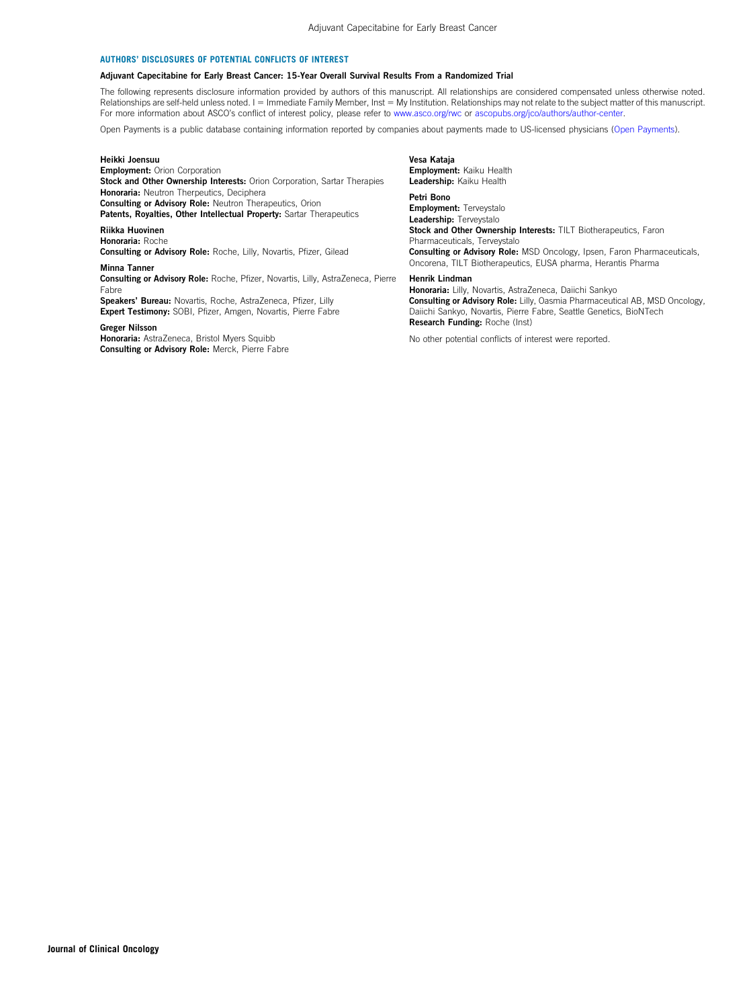#### AUTHORS' DISCLOSURES OF POTENTIAL CONFLICTS OF INTEREST

#### Adjuvant Capecitabine for Early Breast Cancer: 15-Year Overall Survival Results From a Randomized Trial

The following represents disclosure information provided by authors of this manuscript. All relationships are considered compensated unless otherwise noted. Relationships are self-held unless noted. I = Immediate Family Member, Inst = My Institution. Relationships may not relate to the subject matter of this manuscript. For more information about ASCO's conflict of interest policy, please refer to [www.asco.org/rwc](http://www.asco.org/rwc) or [ascopubs.org/jco/authors/author-center](http://ascopubs.org/jco/authors/author-center).

Open Payments is a public database containing information reported by companies about payments made to US-licensed physicians [\(Open Payments](https://openpaymentsdata.cms.gov/)).

#### Heikki Joensuu Employment: Orion Corporation Stock and Other Ownership Interests: Orion Corporation, Sartar Therapies Honoraria: Neutron Therpeutics, Deciphera Consulting or Advisory Role: Neutron Therapeutics, Orion Patents, Royalties, Other Intellectual Property: Sartar Therapeutics

Riikka Huovinen

Honoraria: Roche Consulting or Advisory Role: Roche, Lilly, Novartis, Pfizer, Gilead

#### Minna Tanner

Consulting or Advisory Role: Roche, Pfizer, Novartis, Lilly, AstraZeneca, Pierre Fabre

Speakers' Bureau: Novartis, Roche, AstraZeneca, Pfizer, Lilly Expert Testimony: SOBI, Pfizer, Amgen, Novartis, Pierre Fabre

#### Greger Nilsson

Honoraria: AstraZeneca, Bristol Myers Squibb Consulting or Advisory Role: Merck, Pierre Fabre

#### Vesa Kataja Employment: Kaiku Health Leadership: Kaiku Health

#### Petri Bono

Employment: Terveystalo Leadership: Terveystalo Stock and Other Ownership Interests: TILT Biotherapeutics, Faron Pharmaceuticals, Terveystalo Consulting or Advisory Role: MSD Oncology, Ipsen, Faron Pharmaceuticals, Oncorena, TILT Biotherapeutics, EUSA pharma, Herantis Pharma

#### Henrik Lindman

Honoraria: Lilly, Novartis, AstraZeneca, Daiichi Sankyo Consulting or Advisory Role: Lilly, Oasmia Pharmaceutical AB, MSD Oncology, Daiichi Sankyo, Novartis, Pierre Fabre, Seattle Genetics, BioNTech Research Funding: Roche (Inst)

No other potential conflicts of interest were reported.